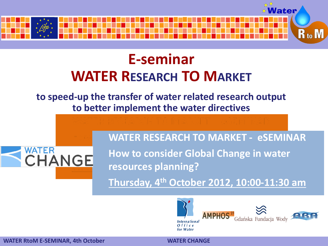

## **E-seminar WATER RESEARCH TO MARKET**

**to speed-up the transfer of water related research output to better implement the water directives**



**WATER RESEARCH TO MARKET - eSEMINAR How to consider Global Change in water resources planning?**

**Thursday, 4th October 2012, 10:00-11:30 am**



**WATER RtoM E-SEMINAR, 4th October WATER CHANGE**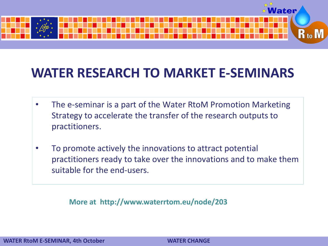

## **WATER RESEARCH TO MARKET E-SEMINARS**

- The e-seminar is a part of the Water RtoM Promotion Marketing Strategy to accelerate the transfer of the research outputs to practitioners.
- To promote actively the innovations to attract potential practitioners ready to take over the innovations and to make them suitable for the end-users.

**More at http://www.waterrtom.eu/node/203**

**WATER RtoM E-SEMINAR, 4th October WATER CHANGE**